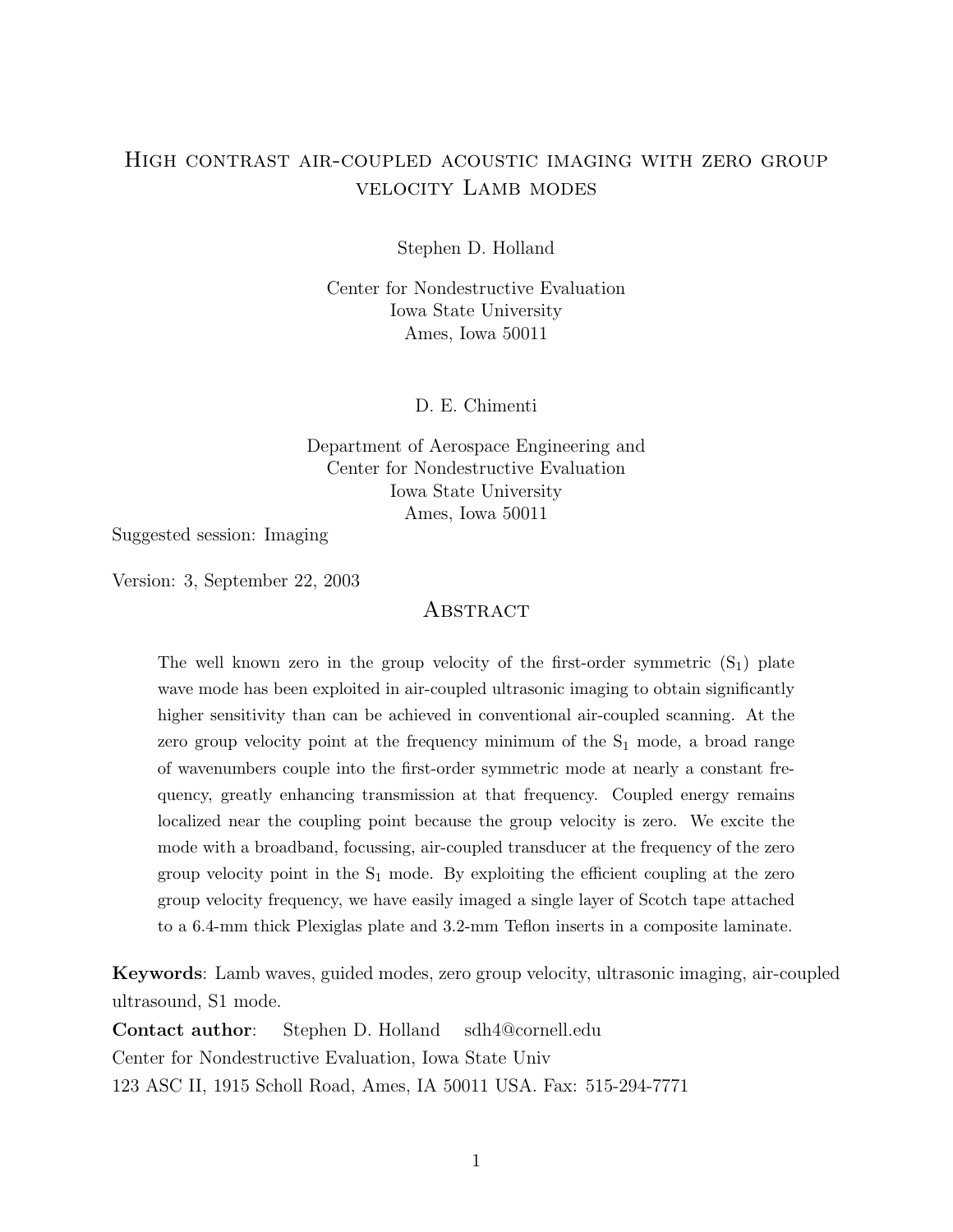## High contrast air-coupled acoustic imaging with zero group velocity Lamb modes

Stephen D. Holland

Center for Nondestructive Evaluation Iowa State University Ames, Iowa 50011

D. E. Chimenti

Department of Aerospace Engineering and Center for Nondestructive Evaluation Iowa State University Ames, Iowa 50011

Suggested session: Imaging

Version: 3, September 22, 2003

#### **ABSTRACT**

The well known zero in the group velocity of the first-order symmetric  $(S_1)$  plate wave mode has been exploited in air-coupled ultrasonic imaging to obtain significantly higher sensitivity than can be achieved in conventional air-coupled scanning. At the zero group velocity point at the frequency minimum of the  $S_1$  mode, a broad range of wavenumbers couple into the first-order symmetric mode at nearly a constant frequency, greatly enhancing transmission at that frequency. Coupled energy remains localized near the coupling point because the group velocity is zero. We excite the mode with a broadband, focussing, air-coupled transducer at the frequency of the zero group velocity point in the  $S_1$  mode. By exploiting the efficient coupling at the zero group velocity frequency, we have easily imaged a single layer of Scotch tape attached to a 6.4-mm thick Plexiglas plate and 3.2-mm Teflon inserts in a composite laminate.

Keywords: Lamb waves, guided modes, zero group velocity, ultrasonic imaging, air-coupled ultrasound, S1 mode.

Contact author: Stephen D. Holland sdh4@cornell.edu Center for Nondestructive Evaluation, Iowa State Univ 123 ASC II, 1915 Scholl Road, Ames, IA 50011 USA. Fax: 515-294-7771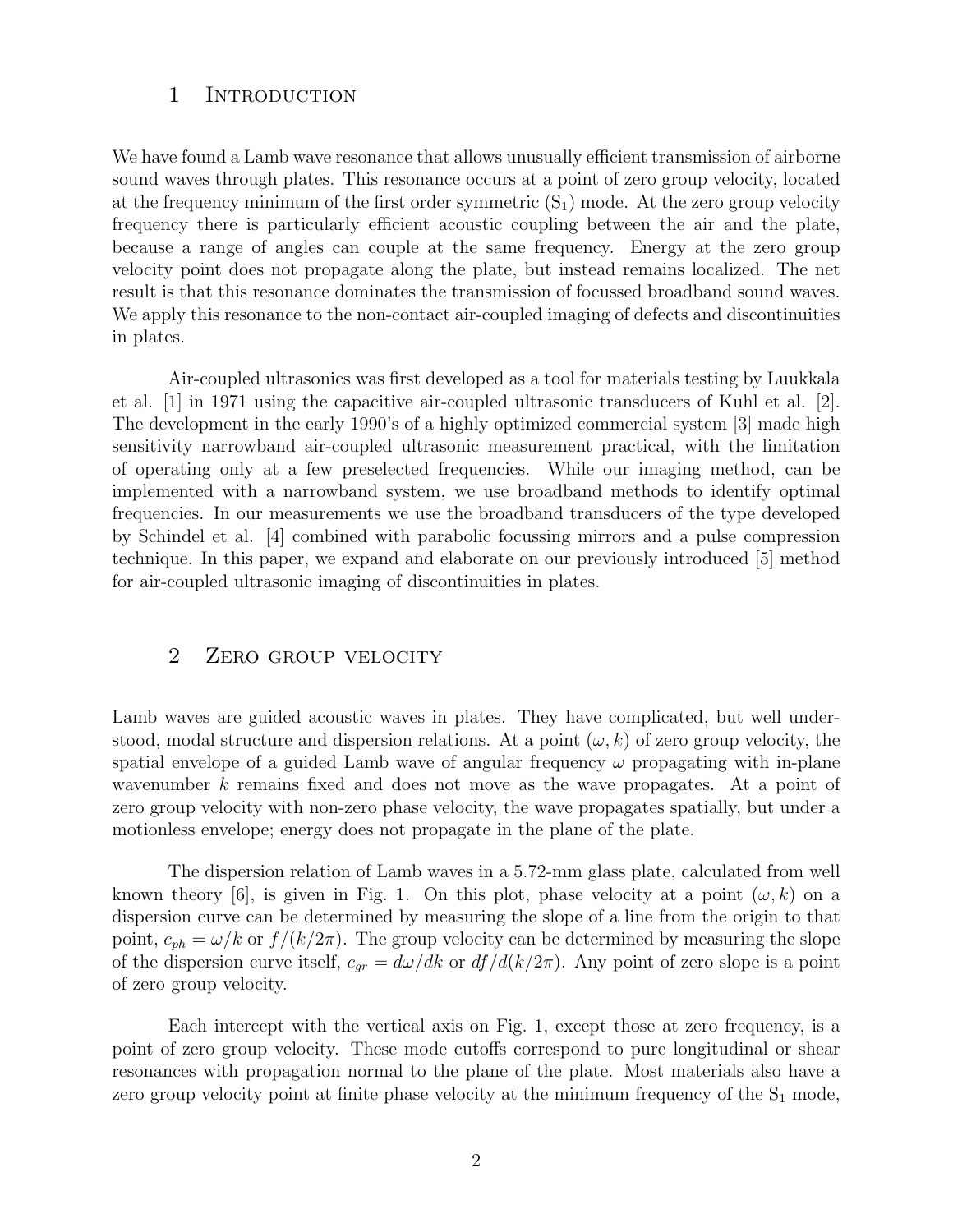#### 1 INTRODUCTION

We have found a Lamb wave resonance that allows unusually efficient transmission of airborne sound waves through plates. This resonance occurs at a point of zero group velocity, located at the frequency minimum of the first order symmetric  $(S_1)$  mode. At the zero group velocity frequency there is particularly efficient acoustic coupling between the air and the plate, because a range of angles can couple at the same frequency. Energy at the zero group velocity point does not propagate along the plate, but instead remains localized. The net result is that this resonance dominates the transmission of focussed broadband sound waves. We apply this resonance to the non-contact air-coupled imaging of defects and discontinuities in plates.

Air-coupled ultrasonics was first developed as a tool for materials testing by Luukkala et al. [1] in 1971 using the capacitive air-coupled ultrasonic transducers of Kuhl et al. [2]. The development in the early 1990's of a highly optimized commercial system [3] made high sensitivity narrowband air-coupled ultrasonic measurement practical, with the limitation of operating only at a few preselected frequencies. While our imaging method, can be implemented with a narrowband system, we use broadband methods to identify optimal frequencies. In our measurements we use the broadband transducers of the type developed by Schindel et al. [4] combined with parabolic focussing mirrors and a pulse compression technique. In this paper, we expand and elaborate on our previously introduced [5] method for air-coupled ultrasonic imaging of discontinuities in plates.

### 2 ZERO GROUP VELOCITY

Lamb waves are guided acoustic waves in plates. They have complicated, but well understood, modal structure and dispersion relations. At a point  $(\omega, k)$  of zero group velocity, the spatial envelope of a guided Lamb wave of angular frequency  $\omega$  propagating with in-plane wavenumber k remains fixed and does not move as the wave propagates. At a point of zero group velocity with non-zero phase velocity, the wave propagates spatially, but under a motionless envelope; energy does not propagate in the plane of the plate.

The dispersion relation of Lamb waves in a 5.72-mm glass plate, calculated from well known theory [6], is given in Fig. 1. On this plot, phase velocity at a point  $(\omega, k)$  on a dispersion curve can be determined by measuring the slope of a line from the origin to that point,  $c_{ph} = \omega/k$  or  $f/(k/2\pi)$ . The group velocity can be determined by measuring the slope of the dispersion curve itself,  $c_{gr} = d\omega/dk$  or  $df/d(k/2\pi)$ . Any point of zero slope is a point of zero group velocity.

Each intercept with the vertical axis on Fig. 1, except those at zero frequency, is a point of zero group velocity. These mode cutoffs correspond to pure longitudinal or shear resonances with propagation normal to the plane of the plate. Most materials also have a zero group velocity point at finite phase velocity at the minimum frequency of the  $S_1$  mode,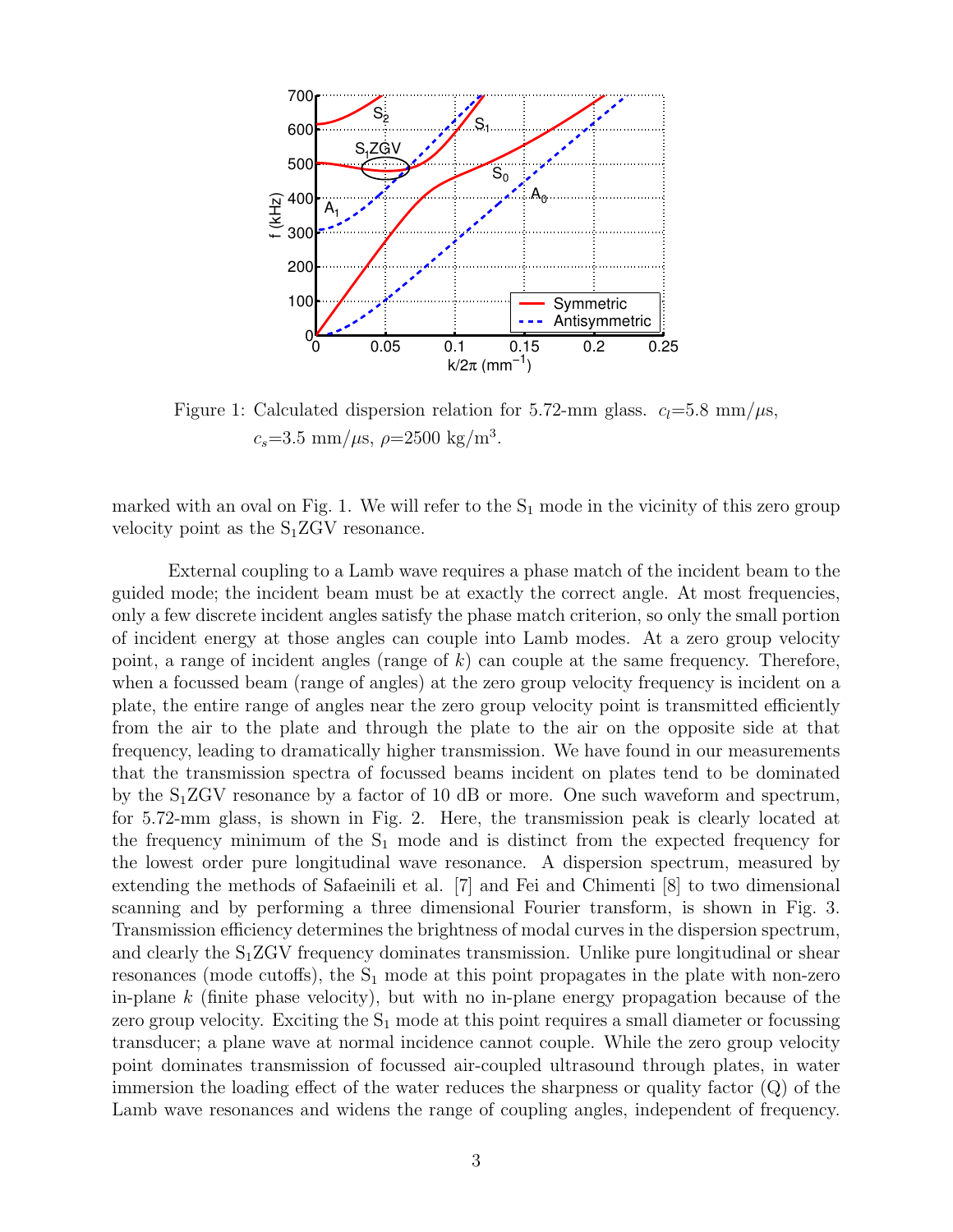

Figure 1: Calculated dispersion relation for 5.72-mm glass.  $c_l$ =5.8 mm/ $\mu$ s,  $c_s = 3.5$  mm/ $\mu$ s,  $\rho = 2500$  kg/m<sup>3</sup>.

marked with an oval on Fig. 1. We will refer to the  $S_1$  mode in the vicinity of this zero group velocity point as the  $S_1ZGV$  resonance.

External coupling to a Lamb wave requires a phase match of the incident beam to the guided mode; the incident beam must be at exactly the correct angle. At most frequencies, only a few discrete incident angles satisfy the phase match criterion, so only the small portion of incident energy at those angles can couple into Lamb modes. At a zero group velocity point, a range of incident angles (range of  $k$ ) can couple at the same frequency. Therefore, when a focussed beam (range of angles) at the zero group velocity frequency is incident on a plate, the entire range of angles near the zero group velocity point is transmitted efficiently from the air to the plate and through the plate to the air on the opposite side at that frequency, leading to dramatically higher transmission. We have found in our measurements that the transmission spectra of focussed beams incident on plates tend to be dominated by the S1ZGV resonance by a factor of 10 dB or more. One such waveform and spectrum, for 5.72-mm glass, is shown in Fig. 2. Here, the transmission peak is clearly located at the frequency minimum of the  $S_1$  mode and is distinct from the expected frequency for the lowest order pure longitudinal wave resonance. A dispersion spectrum, measured by extending the methods of Safaeinili et al. [7] and Fei and Chimenti [8] to two dimensional scanning and by performing a three dimensional Fourier transform, is shown in Fig. 3. Transmission efficiency determines the brightness of modal curves in the dispersion spectrum, and clearly the  $S_1ZGV$  frequency dominates transmission. Unlike pure longitudinal or shear resonances (mode cutoffs), the  $S_1$  mode at this point propagates in the plate with non-zero in-plane  $k$  (finite phase velocity), but with no in-plane energy propagation because of the zero group velocity. Exciting the  $S_1$  mode at this point requires a small diameter or focussing transducer; a plane wave at normal incidence cannot couple. While the zero group velocity point dominates transmission of focussed air-coupled ultrasound through plates, in water immersion the loading effect of the water reduces the sharpness or quality factor (Q) of the Lamb wave resonances and widens the range of coupling angles, independent of frequency.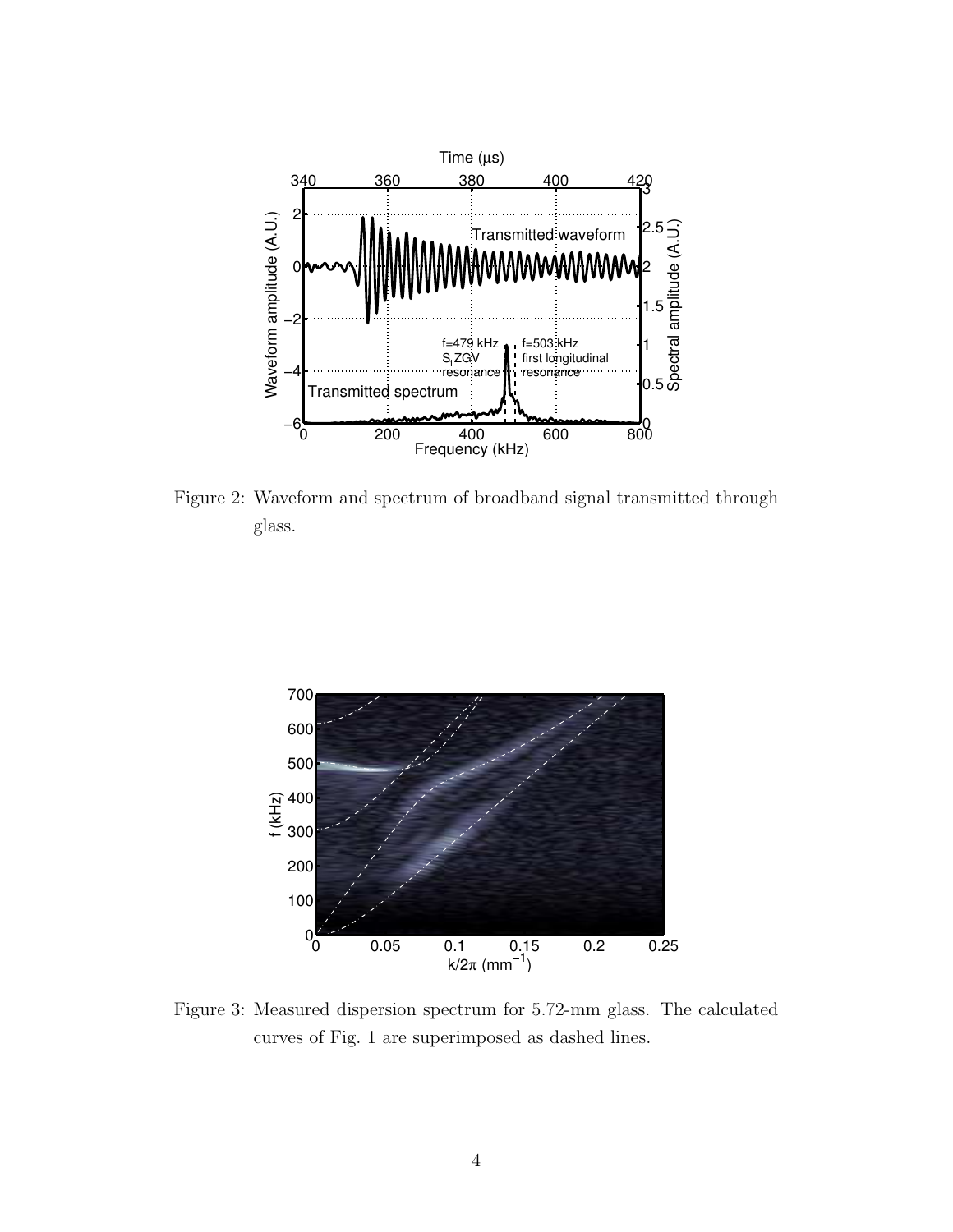

Figure 2: Waveform and spectrum of broadband signal transmitted through glass.



Figure 3: Measured dispersion spectrum for 5.72-mm glass. The calculated curves of Fig. 1 are superimposed as dashed lines.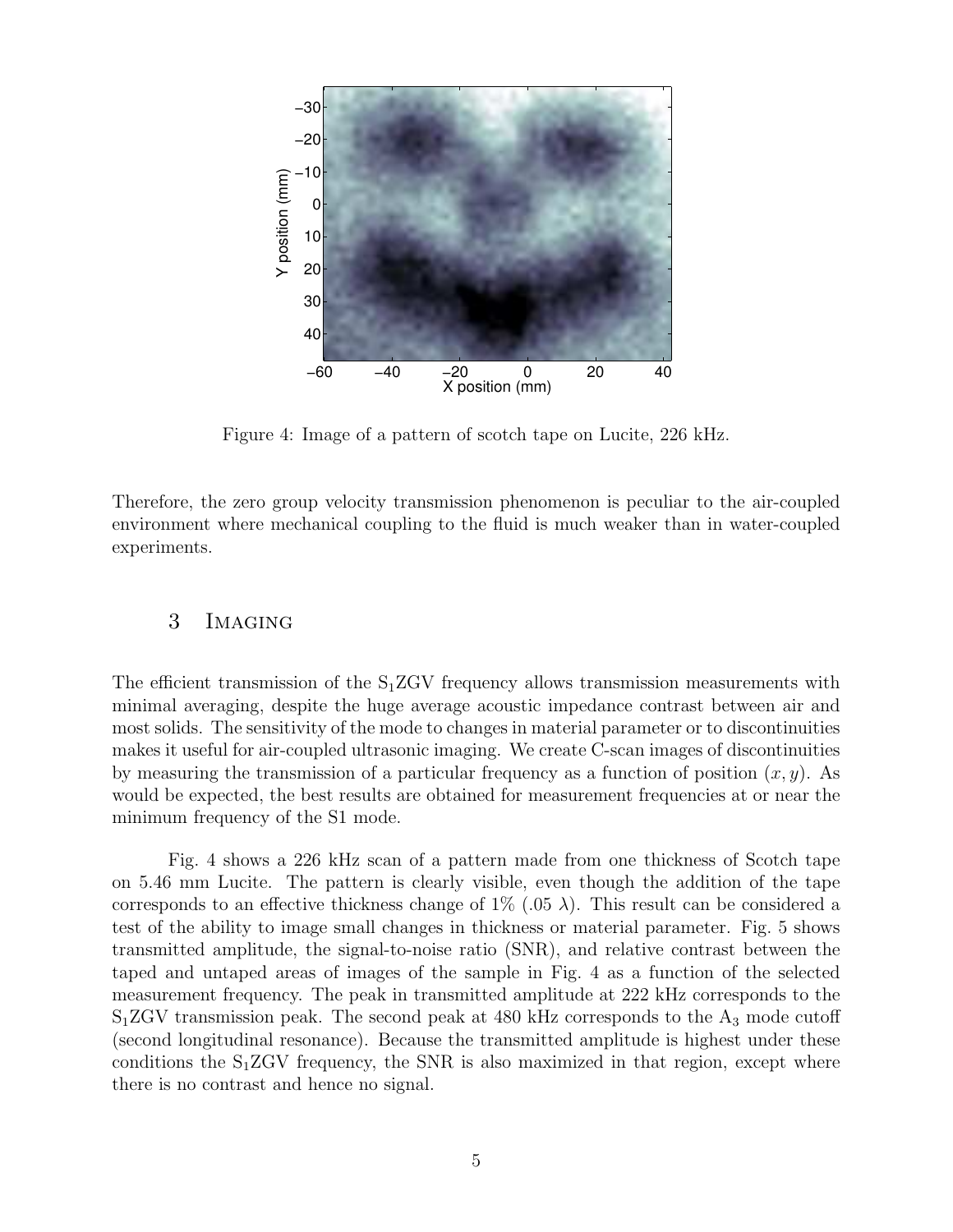

Figure 4: Image of a pattern of scotch tape on Lucite, 226 kHz.

Therefore, the zero group velocity transmission phenomenon is peculiar to the air-coupled environment where mechanical coupling to the fluid is much weaker than in water-coupled experiments.

## 3 Imaging

The efficient transmission of the  $S_1ZGV$  frequency allows transmission measurements with minimal averaging, despite the huge average acoustic impedance contrast between air and most solids. The sensitivity of the mode to changes in material parameter or to discontinuities makes it useful for air-coupled ultrasonic imaging. We create C-scan images of discontinuities by measuring the transmission of a particular frequency as a function of position  $(x, y)$ . As would be expected, the best results are obtained for measurement frequencies at or near the minimum frequency of the S1 mode.

Fig. 4 shows a 226 kHz scan of a pattern made from one thickness of Scotch tape on 5.46 mm Lucite. The pattern is clearly visible, even though the addition of the tape corresponds to an effective thickness change of  $1\%$  (.05  $\lambda$ ). This result can be considered a test of the ability to image small changes in thickness or material parameter. Fig. 5 shows transmitted amplitude, the signal-to-noise ratio (SNR), and relative contrast between the taped and untaped areas of images of the sample in Fig. 4 as a function of the selected measurement frequency. The peak in transmitted amplitude at 222 kHz corresponds to the  $S_1ZGV$  transmission peak. The second peak at 480 kHz corresponds to the  $A_3$  mode cutoff (second longitudinal resonance). Because the transmitted amplitude is highest under these conditions the  $S_1ZGV$  frequency, the SNR is also maximized in that region, except where there is no contrast and hence no signal.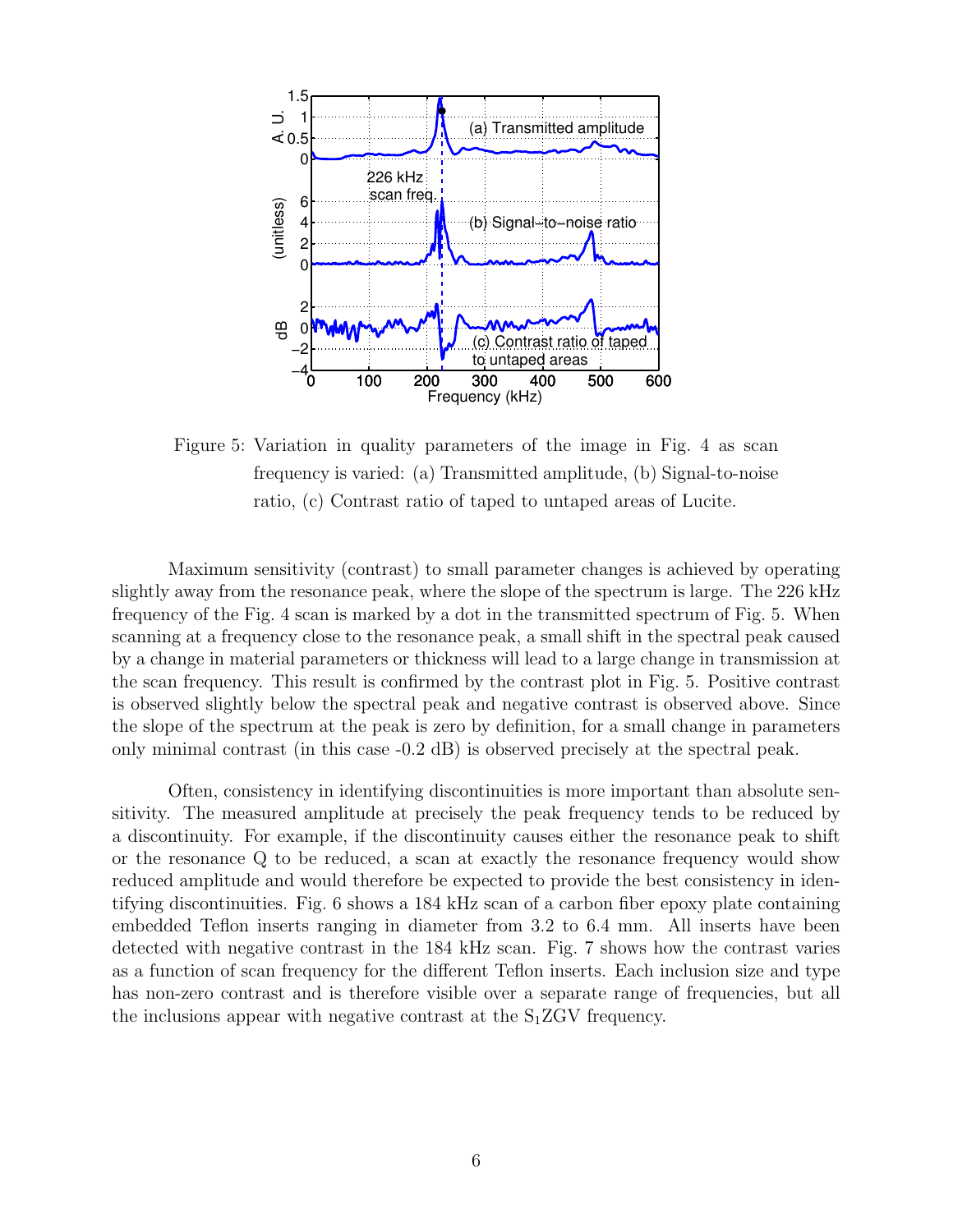

Figure 5: Variation in quality parameters of the image in Fig. 4 as scan frequency is varied: (a) Transmitted amplitude, (b) Signal-to-noise ratio, (c) Contrast ratio of taped to untaped areas of Lucite.

Maximum sensitivity (contrast) to small parameter changes is achieved by operating slightly away from the resonance peak, where the slope of the spectrum is large. The 226 kHz frequency of the Fig. 4 scan is marked by a dot in the transmitted spectrum of Fig. 5. When scanning at a frequency close to the resonance peak, a small shift in the spectral peak caused by a change in material parameters or thickness will lead to a large change in transmission at the scan frequency. This result is confirmed by the contrast plot in Fig. 5. Positive contrast is observed slightly below the spectral peak and negative contrast is observed above. Since the slope of the spectrum at the peak is zero by definition, for a small change in parameters only minimal contrast (in this case -0.2 dB) is observed precisely at the spectral peak.

Often, consistency in identifying discontinuities is more important than absolute sensitivity. The measured amplitude at precisely the peak frequency tends to be reduced by a discontinuity. For example, if the discontinuity causes either the resonance peak to shift or the resonance Q to be reduced, a scan at exactly the resonance frequency would show reduced amplitude and would therefore be expected to provide the best consistency in identifying discontinuities. Fig. 6 shows a 184 kHz scan of a carbon fiber epoxy plate containing embedded Teflon inserts ranging in diameter from 3.2 to 6.4 mm. All inserts have been detected with negative contrast in the 184 kHz scan. Fig. 7 shows how the contrast varies as a function of scan frequency for the different Teflon inserts. Each inclusion size and type has non-zero contrast and is therefore visible over a separate range of frequencies, but all the inclusions appear with negative contrast at the  $S_1ZGV$  frequency.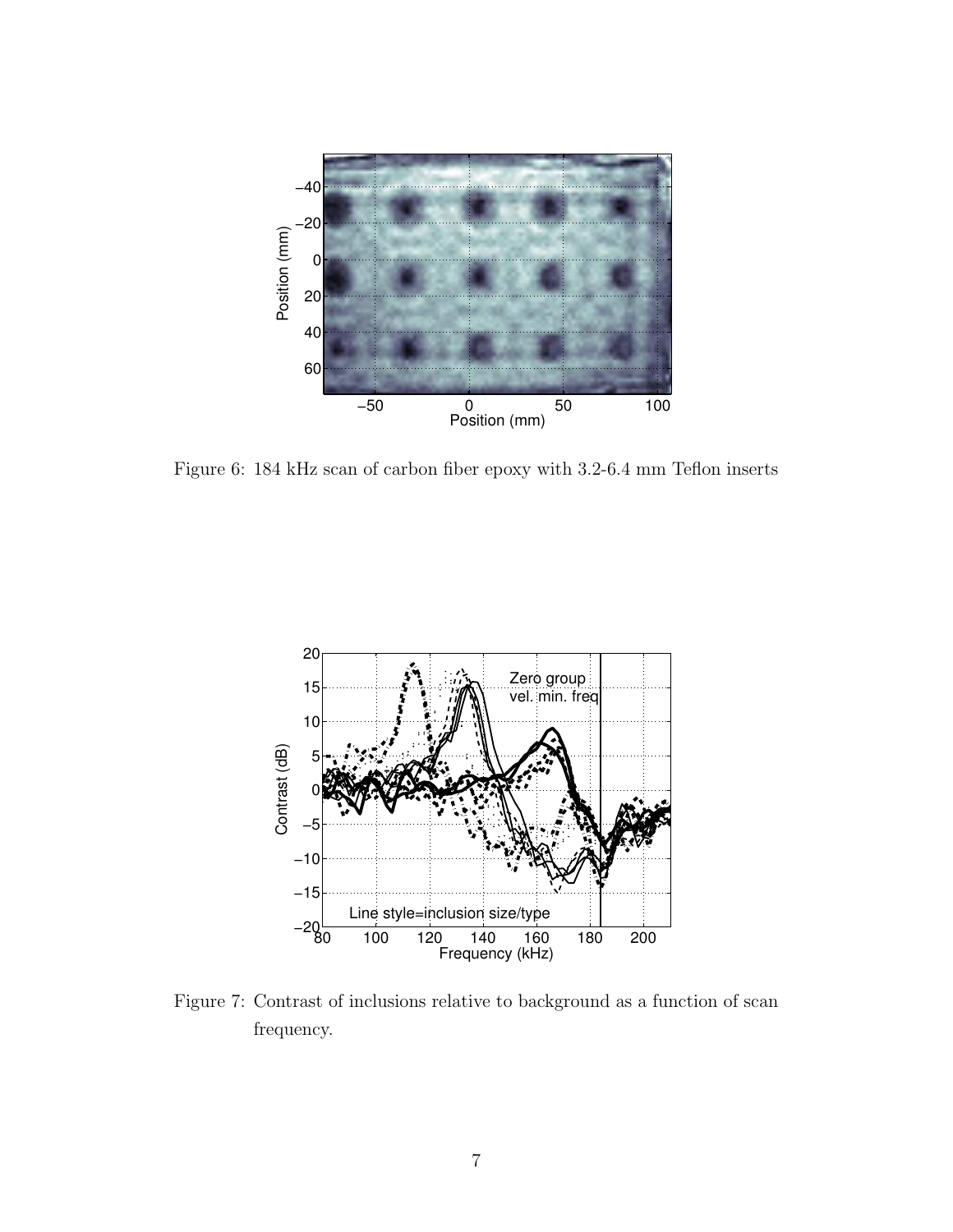

Figure 6: 184 kHz scan of carbon fiber epoxy with 3.2-6.4 mm Teflon inserts



Figure 7: Contrast of inclusions relative to background as a function of scan frequency.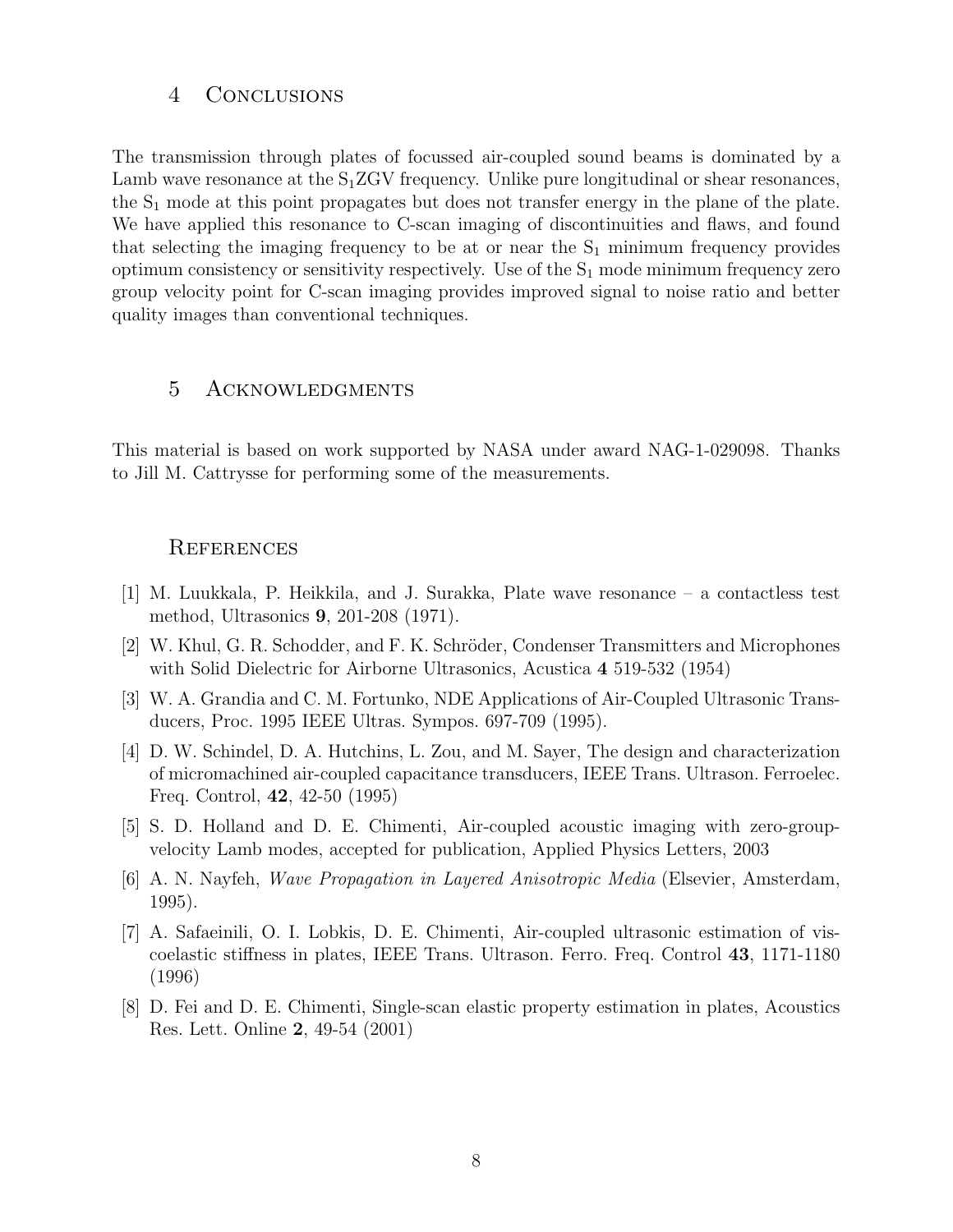### 4 Conclusions

The transmission through plates of focussed air-coupled sound beams is dominated by a Lamb wave resonance at the  $S_1ZGV$  frequency. Unlike pure longitudinal or shear resonances, the  $S_1$  mode at this point propagates but does not transfer energy in the plane of the plate. We have applied this resonance to C-scan imaging of discontinuities and flaws, and found that selecting the imaging frequency to be at or near the  $S_1$  minimum frequency provides optimum consistency or sensitivity respectively. Use of the  $S_1$  mode minimum frequency zero group velocity point for C-scan imaging provides improved signal to noise ratio and better quality images than conventional techniques.

## 5 Acknowledgments

This material is based on work supported by NASA under award NAG-1-029098. Thanks to Jill M. Cattrysse for performing some of the measurements.

#### **REFERENCES**

- [1] M. Luukkala, P. Heikkila, and J. Surakka, Plate wave resonance a contactless test method, Ultrasonics 9, 201-208 (1971).
- [2] W. Khul, G. R. Schodder, and F. K. Schröder, Condenser Transmitters and Microphones with Solid Dielectric for Airborne Ultrasonics, Acustica 4 519-532 (1954)
- [3] W. A. Grandia and C. M. Fortunko, NDE Applications of Air-Coupled Ultrasonic Transducers, Proc. 1995 IEEE Ultras. Sympos. 697-709 (1995).
- [4] D. W. Schindel, D. A. Hutchins, L. Zou, and M. Sayer, The design and characterization of micromachined air-coupled capacitance transducers, IEEE Trans. Ultrason. Ferroelec. Freq. Control, 42, 42-50 (1995)
- [5] S. D. Holland and D. E. Chimenti, Air-coupled acoustic imaging with zero-groupvelocity Lamb modes, accepted for publication, Applied Physics Letters, 2003
- [6] A. N. Nayfeh, Wave Propagation in Layered Anisotropic Media (Elsevier, Amsterdam, 1995).
- [7] A. Safaeinili, O. I. Lobkis, D. E. Chimenti, Air-coupled ultrasonic estimation of viscoelastic stiffness in plates, IEEE Trans. Ultrason. Ferro. Freq. Control 43, 1171-1180 (1996)
- [8] D. Fei and D. E. Chimenti, Single-scan elastic property estimation in plates, Acoustics Res. Lett. Online 2, 49-54 (2001)